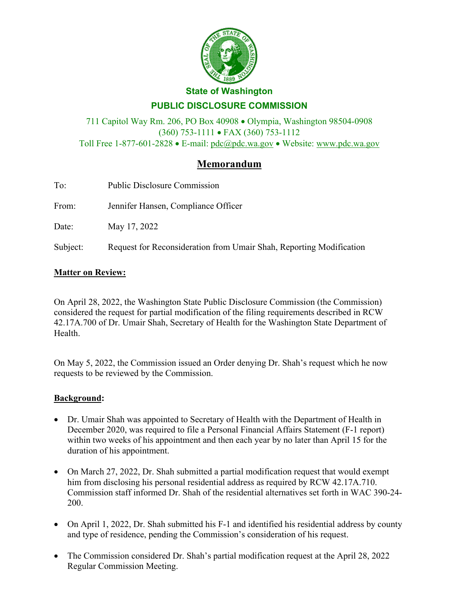

## **State of Washington**

# **PUBLIC DISCLOSURE COMMISSION**

711 Capitol Way Rm. 206, PO Box 40908 • Olympia, Washington 98504-0908 (360) 753-1111 • FAX (360) 753-1112 Toll Free 1-877-601-2828 • E-mail: [pdc@pdc.wa.gov](mailto:pdc@pdc.wa.gov) • Website: [www.pdc.wa.gov](http://www.pdc.wa.gov/)

# **Memorandum**

| $M_0$ <sup><math>\leftrightarrow</math></sup> $\rightarrow$ $R_0$ $\rightarrow$ $\rightarrow$ |                                                                     |  |  |  |
|-----------------------------------------------------------------------------------------------|---------------------------------------------------------------------|--|--|--|
| Subject:                                                                                      | Request for Reconsideration from Umair Shah, Reporting Modification |  |  |  |
| Date:                                                                                         | May 17, 2022                                                        |  |  |  |
| From:                                                                                         | Jennifer Hansen, Compliance Officer                                 |  |  |  |
| To:                                                                                           | <b>Public Disclosure Commission</b>                                 |  |  |  |

# **Matter on Review:**

On April 28, 2022, the Washington State Public Disclosure Commission (the Commission) considered the request for partial modification of the filing requirements described in RCW 42.17A.700 of Dr. Umair Shah, Secretary of Health for the Washington State Department of Health.

On May 5, 2022, the Commission issued an Order denying Dr. Shah's request which he now requests to be reviewed by the Commission.

## **Background:**

- Dr. Umair Shah was appointed to Secretary of Health with the Department of Health in December 2020, was required to file a Personal Financial Affairs Statement (F-1 report) within two weeks of his appointment and then each year by no later than April 15 for the duration of his appointment.
- On March 27, 2022, Dr. Shah submitted a partial modification request that would exempt him from disclosing his personal residential address as required by RCW 42.17A.710. Commission staff informed Dr. Shah of the residential alternatives set forth in WAC 390-24- 200.
- On April 1, 2022, Dr. Shah submitted his F-1 and identified his residential address by county and type of residence, pending the Commission's consideration of his request.
- The Commission considered Dr. Shah's partial modification request at the April 28, 2022 Regular Commission Meeting.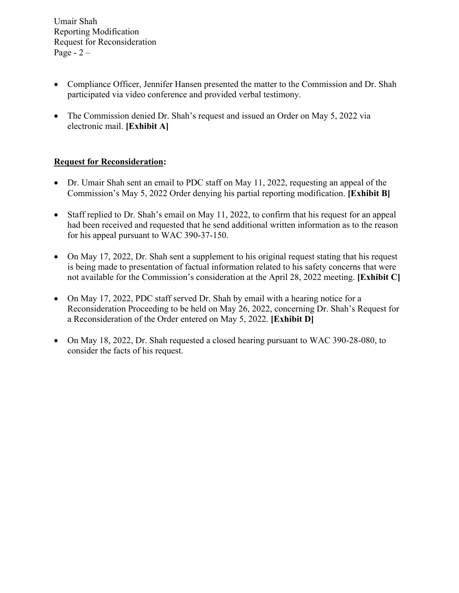- Compliance Officer, Jennifer Hansen presented the matter to the Commission and Dr. Shah participated via video conference and provided verbal testimony.
- The Commission denied Dr. Shah's request and issued an Order on May 5, 2022 via electronic mail. **[Exhibit A]**

## **Request for Reconsideration:**

- Dr. Umair Shah sent an email to PDC staff on May 11, 2022, requesting an appeal of the Commission's May 5, 2022 Order denying his partial reporting modification. **[Exhibit B]**
- Staff replied to Dr. Shah's email on May 11, 2022, to confirm that his request for an appeal had been received and requested that he send additional written information as to the reason for his appeal pursuant to WAC 390-37-150.
- On May 17, 2022, Dr. Shah sent a supplement to his original request stating that his request is being made to presentation of factual information related to his safety concerns that were not available for the Commission's consideration at the April 28, 2022 meeting. **[Exhibit C]**
- On May 17, 2022, PDC staff served Dr. Shah by email with a hearing notice for a Reconsideration Proceeding to be held on May 26, 2022, concerning Dr. Shah's Request for a Reconsideration of the Order entered on May 5, 2022. **[Exhibit D]**
- On May 18, 2022, Dr. Shah requested a closed hearing pursuant to WAC 390-28-080, to consider the facts of his request.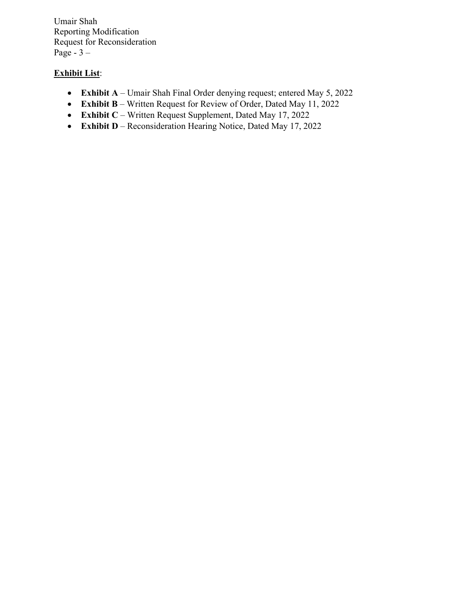Umair Shah Reporting Modification Request for Reconsideration Page - 3 –

# **Exhibit List**:

- **Exhibit A** Umair Shah Final Order denying request; entered May 5, 2022
- **Exhibit B** Written Request for Review of Order, Dated May 11, 2022
- **Exhibit C** Written Request Supplement, Dated May 17, 2022
- **Exhibit D** Reconsideration Hearing Notice, Dated May 17, 2022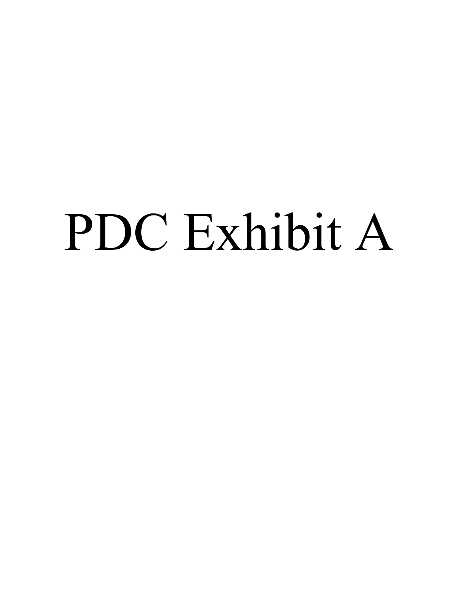# PDC Exhibit A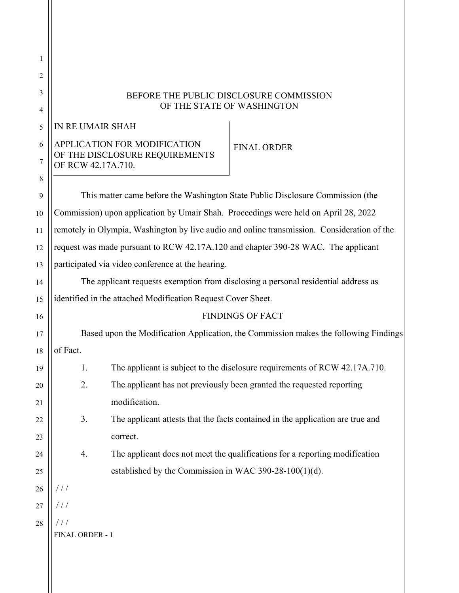| 1      |                                                                                             |                                                              |                                                                                    |
|--------|---------------------------------------------------------------------------------------------|--------------------------------------------------------------|------------------------------------------------------------------------------------|
| 2      |                                                                                             |                                                              |                                                                                    |
| 3<br>4 | BEFORE THE PUBLIC DISCLOSURE COMMISSION<br>OF THE STATE OF WASHINGTON                       |                                                              |                                                                                    |
| 5      | IN RE UMAIR SHAH                                                                            |                                                              |                                                                                    |
| 6      |                                                                                             | APPLICATION FOR MODIFICATION                                 | <b>FINAL ORDER</b>                                                                 |
| 7      | OF THE DISCLOSURE REQUIREMENTS<br>OF RCW 42.17A.710.                                        |                                                              |                                                                                    |
| 8      |                                                                                             |                                                              |                                                                                    |
| 9      | This matter came before the Washington State Public Disclosure Commission (the              |                                                              |                                                                                    |
| 10     | Commission) upon application by Umair Shah. Proceedings were held on April 28, 2022         |                                                              |                                                                                    |
| 11     | remotely in Olympia, Washington by live audio and online transmission. Consideration of the |                                                              |                                                                                    |
| 12     | request was made pursuant to RCW 42.17A.120 and chapter 390-28 WAC. The applicant           |                                                              |                                                                                    |
| 13     | participated via video conference at the hearing.                                           |                                                              |                                                                                    |
| 14     |                                                                                             |                                                              | The applicant requests exemption from disclosing a personal residential address as |
| 15     |                                                                                             | identified in the attached Modification Request Cover Sheet. |                                                                                    |
| 16     |                                                                                             |                                                              | <b>FINDINGS OF FACT</b>                                                            |
|        | Based upon the Modification Application, the Commission makes the following Findings        |                                                              |                                                                                    |
| 17     |                                                                                             |                                                              |                                                                                    |
| 18     | of Fact.                                                                                    |                                                              |                                                                                    |
| 19     | 1.                                                                                          |                                                              | The applicant is subject to the disclosure requirements of RCW 42.17A.710.         |
| 20     | 2.                                                                                          |                                                              | The applicant has not previously been granted the requested reporting              |
| 21     |                                                                                             | modification.                                                |                                                                                    |
| 22     | 3.                                                                                          |                                                              | The applicant attests that the facts contained in the application are true and     |
| 23     |                                                                                             | correct.                                                     |                                                                                    |
| 24     | 4.                                                                                          |                                                              | The applicant does not meet the qualifications for a reporting modification        |
| 25     |                                                                                             | established by the Commission in WAC 390-28-100(1)(d).       |                                                                                    |
| 26     | 111                                                                                         |                                                              |                                                                                    |
| 27     | 111                                                                                         |                                                              |                                                                                    |
| 28     | 111                                                                                         |                                                              |                                                                                    |
|        | FINAL ORDER - 1                                                                             |                                                              |                                                                                    |
|        |                                                                                             |                                                              |                                                                                    |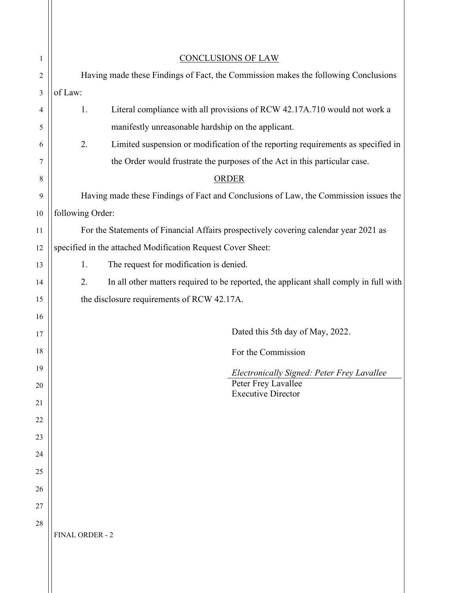| 1              | <b>CONCLUSIONS OF LAW</b>                                                                   |  |
|----------------|---------------------------------------------------------------------------------------------|--|
| $\overline{c}$ | Having made these Findings of Fact, the Commission makes the following Conclusions          |  |
| 3              | of Law:                                                                                     |  |
| 4              | Literal compliance with all provisions of RCW 42.17A.710 would not work a<br>1.             |  |
| 5              | manifestly unreasonable hardship on the applicant.                                          |  |
| 6              | 2.<br>Limited suspension or modification of the reporting requirements as specified in      |  |
| 7              | the Order would frustrate the purposes of the Act in this particular case.                  |  |
| 8              | ORDER                                                                                       |  |
| 9              | Having made these Findings of Fact and Conclusions of Law, the Commission issues the        |  |
| 10             | following Order:                                                                            |  |
| 11             | For the Statements of Financial Affairs prospectively covering calendar year 2021 as        |  |
| 12             | specified in the attached Modification Request Cover Sheet:                                 |  |
| 13             | The request for modification is denied.<br>1.                                               |  |
| 14             | In all other matters required to be reported, the applicant shall comply in full with<br>2. |  |
| 15             | the disclosure requirements of RCW 42.17A.                                                  |  |
| 16             |                                                                                             |  |
| 17             | Dated this 5th day of May, 2022.                                                            |  |
| 18             | For the Commission                                                                          |  |
| 19             | Electronically Signed: Peter Frey Lavallee                                                  |  |
| 20             | Peter Frey Lavallee<br><b>Executive Director</b>                                            |  |
| 21             |                                                                                             |  |
| 22             |                                                                                             |  |
| 23             |                                                                                             |  |
| 24             |                                                                                             |  |
| 25             |                                                                                             |  |
| 26             |                                                                                             |  |
| 27             |                                                                                             |  |
| 28             |                                                                                             |  |
|                | FINAL ORDER - 2                                                                             |  |
|                |                                                                                             |  |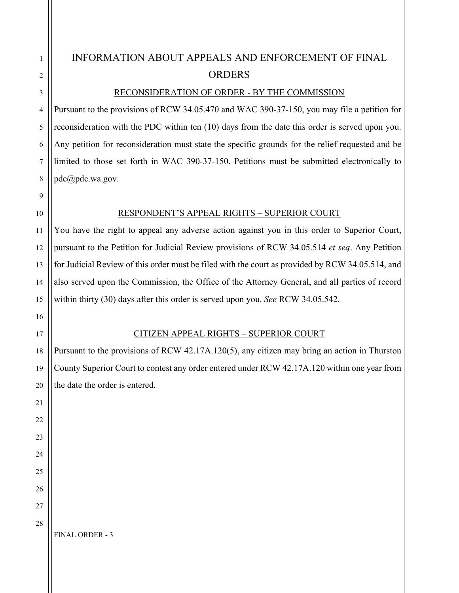# INFORMATION ABOUT APPEALS AND ENFORCEMENT OF FINAL **ORDERS**

#### RECONSIDERATION OF ORDER - BY THE COMMISSION

Pursuant to the provisions of RCW 34.05.470 and WAC 390-37-150, you may file a petition for reconsideration with the PDC within ten (10) days from the date this order is served upon you. Any petition for reconsideration must state the specific grounds for the relief requested and be limited to those set forth in WAC 390-37-150. Petitions must be submitted electronically to pdc@pdc.wa.gov.

#### RESPONDENT'S APPEAL RIGHTS – SUPERIOR COURT

You have the right to appeal any adverse action against you in this order to Superior Court, pursuant to the Petition for Judicial Review provisions of RCW 34.05.514 *et seq*. Any Petition for Judicial Review of this order must be filed with the court as provided by RCW 34.05.514, and also served upon the Commission, the Office of the Attorney General, and all parties of record within thirty (30) days after this order is served upon you. *See* RCW 34.05.542.

#### CITIZEN APPEAL RIGHTS – SUPERIOR COURT

Pursuant to the provisions of RCW 42.17A.120(5), any citizen may bring an action in Thurston County Superior Court to contest any order entered under RCW 42.17A.120 within one year from the date the order is entered.

FINAL ORDER - 3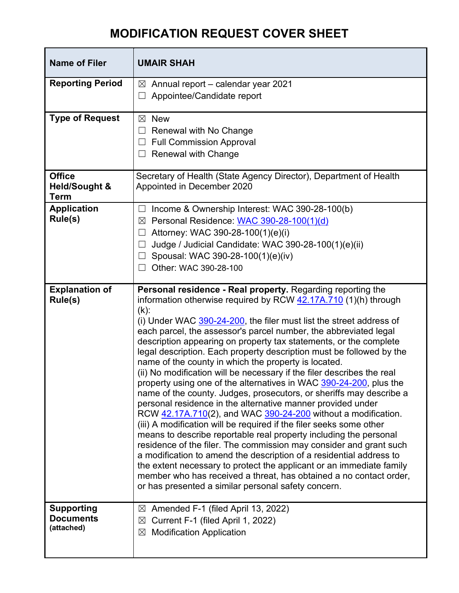# **MODIFICATION REQUEST COVER SHEET**

| <b>Name of Filer</b>                              | <b>UMAIR SHAH</b>                                                                                                                                                                                                                                                                                                                                                                                                                                                                                                                                                                                                                                                                                                                                                                                                                                                                                                                                                                                                                                                                                                                                                                                                                                                                                                                              |  |
|---------------------------------------------------|------------------------------------------------------------------------------------------------------------------------------------------------------------------------------------------------------------------------------------------------------------------------------------------------------------------------------------------------------------------------------------------------------------------------------------------------------------------------------------------------------------------------------------------------------------------------------------------------------------------------------------------------------------------------------------------------------------------------------------------------------------------------------------------------------------------------------------------------------------------------------------------------------------------------------------------------------------------------------------------------------------------------------------------------------------------------------------------------------------------------------------------------------------------------------------------------------------------------------------------------------------------------------------------------------------------------------------------------|--|
| <b>Reporting Period</b>                           | Annual report - calendar year 2021<br>$\boxtimes$<br>Appointee/Candidate report                                                                                                                                                                                                                                                                                                                                                                                                                                                                                                                                                                                                                                                                                                                                                                                                                                                                                                                                                                                                                                                                                                                                                                                                                                                                |  |
| <b>Type of Request</b>                            | <b>New</b><br>⊠<br>Renewal with No Change<br>⊔<br><b>Full Commission Approval</b><br><b>Renewal with Change</b>                                                                                                                                                                                                                                                                                                                                                                                                                                                                                                                                                                                                                                                                                                                                                                                                                                                                                                                                                                                                                                                                                                                                                                                                                                |  |
| <b>Office</b><br><b>Held/Sought &amp;</b><br>Term | Secretary of Health (State Agency Director), Department of Health<br>Appointed in December 2020                                                                                                                                                                                                                                                                                                                                                                                                                                                                                                                                                                                                                                                                                                                                                                                                                                                                                                                                                                                                                                                                                                                                                                                                                                                |  |
| <b>Application</b><br>Rule(s)                     | Income & Ownership Interest: WAC 390-28-100(b)<br>Personal Residence: WAC 390-28-100(1)(d)<br>⊠<br>Attorney: WAC 390-28-100(1)(e)(i)<br>Judge / Judicial Candidate: WAC 390-28-100(1)(e)(ii)<br>Spousal: WAC 390-28-100(1)(e)(iv)<br>Other: WAC 390-28-100                                                                                                                                                                                                                                                                                                                                                                                                                                                                                                                                                                                                                                                                                                                                                                                                                                                                                                                                                                                                                                                                                     |  |
| <b>Explanation of</b><br>Rule(s)                  | Personal residence - Real property. Regarding reporting the<br>information otherwise required by RCW 42.17A.710 (1)(h) through<br>$(k)$ :<br>(i) Under WAC 390-24-200, the filer must list the street address of<br>each parcel, the assessor's parcel number, the abbreviated legal<br>description appearing on property tax statements, or the complete<br>legal description. Each property description must be followed by the<br>name of the county in which the property is located.<br>(ii) No modification will be necessary if the filer describes the real<br>property using one of the alternatives in WAC 390-24-200, plus the<br>name of the county. Judges, prosecutors, or sheriffs may describe a<br>personal residence in the alternative manner provided under<br>RCW 42.17A.710(2), and WAC 390-24-200 without a modification.<br>(iii) A modification will be required if the filer seeks some other<br>means to describe reportable real property including the personal<br>residence of the filer. The commission may consider and grant such<br>a modification to amend the description of a residential address to<br>the extent necessary to protect the applicant or an immediate family<br>member who has received a threat, has obtained a no contact order,<br>or has presented a similar personal safety concern. |  |
| <b>Supporting</b><br>Documents<br>(attached)      | Amended F-1 (filed April 13, 2022)<br>$\boxtimes$<br>Current F-1 (filed April 1, 2022)<br>⊠<br><b>Modification Application</b><br>⊠                                                                                                                                                                                                                                                                                                                                                                                                                                                                                                                                                                                                                                                                                                                                                                                                                                                                                                                                                                                                                                                                                                                                                                                                            |  |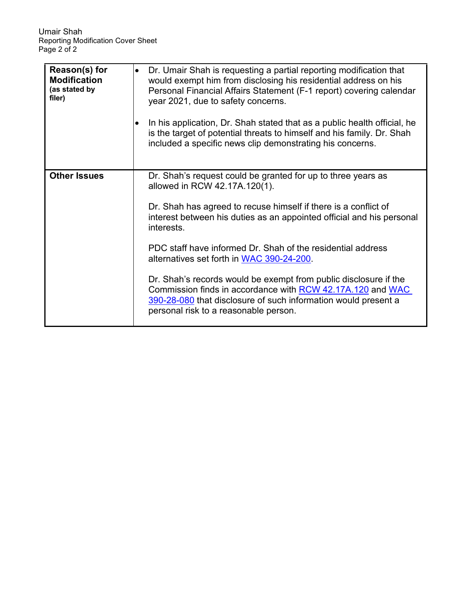| Reason(s) for<br><b>Modification</b><br>(as stated by<br>filer) | Dr. Umair Shah is requesting a partial reporting modification that<br>would exempt him from disclosing his residential address on his<br>Personal Financial Affairs Statement (F-1 report) covering calendar<br>year 2021, due to safety concerns.<br>In his application, Dr. Shah stated that as a public health official, he<br>is the target of potential threats to himself and his family. Dr. Shah<br>included a specific news clip demonstrating his concerns.                                                                                                                                            |
|-----------------------------------------------------------------|------------------------------------------------------------------------------------------------------------------------------------------------------------------------------------------------------------------------------------------------------------------------------------------------------------------------------------------------------------------------------------------------------------------------------------------------------------------------------------------------------------------------------------------------------------------------------------------------------------------|
| <b>Other Issues</b>                                             | Dr. Shah's request could be granted for up to three years as<br>allowed in RCW 42.17A.120(1).<br>Dr. Shah has agreed to recuse himself if there is a conflict of<br>interest between his duties as an appointed official and his personal<br>interests.<br>PDC staff have informed Dr. Shah of the residential address<br>alternatives set forth in WAC 390-24-200.<br>Dr. Shah's records would be exempt from public disclosure if the<br>Commission finds in accordance with RCW 42.17A.120 and WAC<br>390-28-080 that disclosure of such information would present a<br>personal risk to a reasonable person. |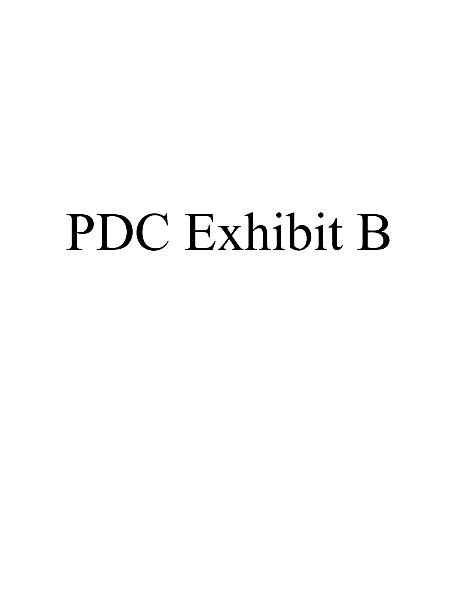# PDC Exhibit B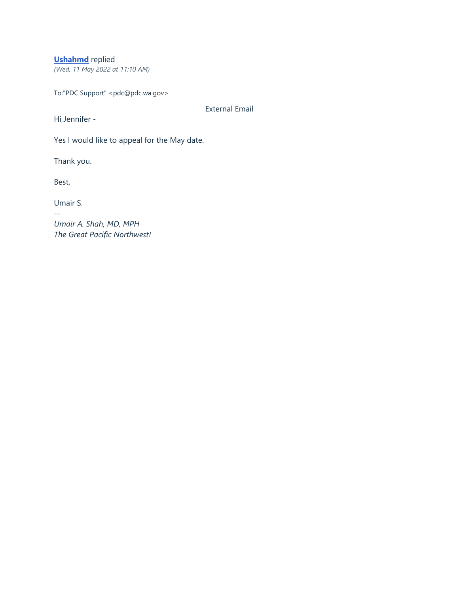## **[Ushahmd](https://wapdc.freshdesk.com/a/contacts/13059241044)** replied

*(Wed, 11 May 2022 at 11:10 AM)*

To:"PDC Support" <pdc@pdc.wa.gov>

External Email

Hi Jennifer -

Yes I would like to appeal for the May date.

Thank you.

Best,

Umair S.

*--*

*Umair A. Shah, MD, MPH The Great Pacific Northwest!*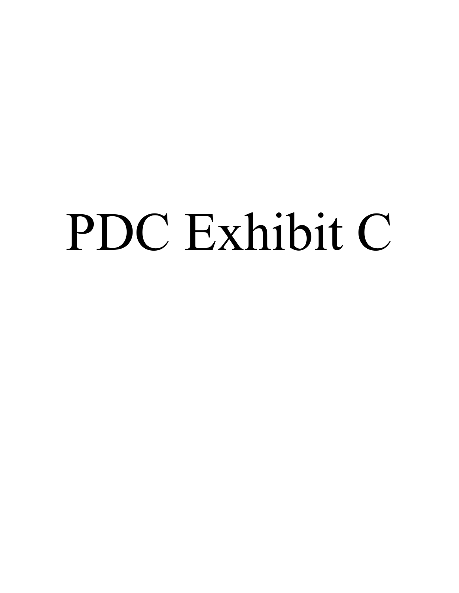# PDC Exhibit C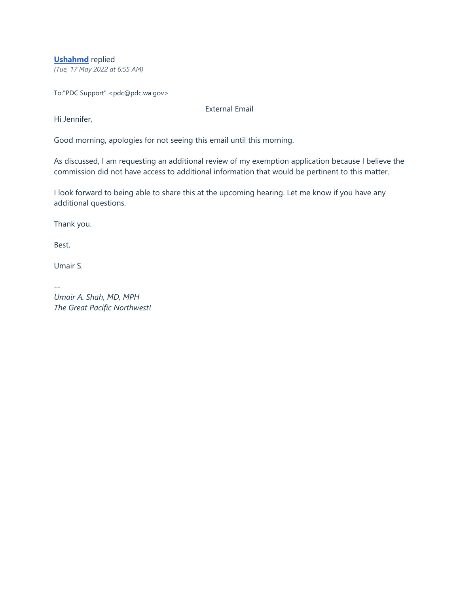**[Ushahmd](https://wapdc.freshdesk.com/a/contacts/13059241044)** replied

*(Tue, 17 May 2022 at 6:55 AM)*

To:"PDC Support" <pdc@pdc.wa.gov>

External Email

Hi Jennifer,

Good morning, apologies for not seeing this email until this morning.

As discussed, I am requesting an additional review of my exemption application because I believe the commission did not have access to additional information that would be pertinent to this matter.

I look forward to being able to share this at the upcoming hearing. Let me know if you have any additional questions.

Thank you.

Best,

Umair S.

*--*

*Umair A. Shah, MD, MPH The Great Pacific Northwest!*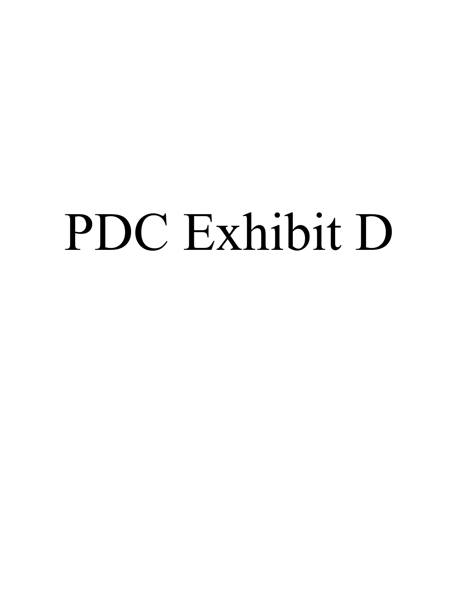# PDC Exhibit D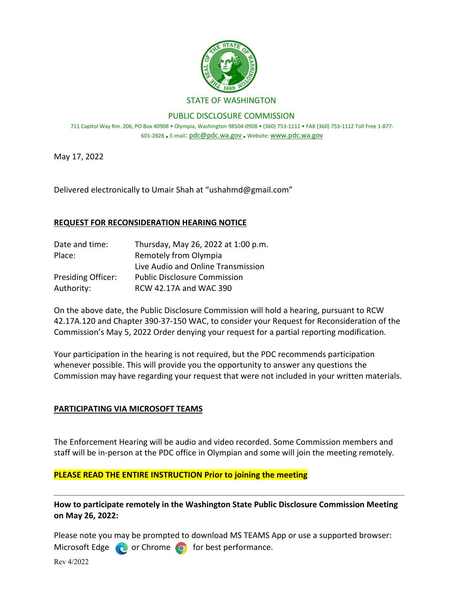

PUBLIC DISCLOSURE COMMISSION

711 Capitol Way Rm. 206, PO Box 40908 • Olympia, Washington 98504-0908 • (360) 753-1111 • FAX (360) 753-1112 Toll Free 1-877- 601-2828 • E-mail: pdc@pdc.wa.gov • Websit[e: www.pdc.wa.gov](http://www.pdc.wa.gov/)

May 17, 2022

Delivered electronically to Umair Shah at "ushahmd@gmail.com"

### **REQUEST FOR RECONSIDERATION HEARING NOTICE**

| Date and time:            | Thursday, May 26, 2022 at 1:00 p.m. |
|---------------------------|-------------------------------------|
| Place:                    | Remotely from Olympia               |
|                           | Live Audio and Online Transmission  |
| <b>Presiding Officer:</b> | <b>Public Disclosure Commission</b> |
| Authority:                | RCW 42.17A and WAC 390              |

On the above date, the Public Disclosure Commission will hold a hearing, pursuant to RCW 42.17A.120 and Chapter 390-37-150 WAC, to consider your Request for Reconsideration of the Commission's May 5, 2022 Order denying your request for a partial reporting modification.

Your participation in the hearing is not required, but the PDC recommends participation whenever possible. This will provide you the opportunity to answer any questions the Commission may have regarding your request that were not included in your written materials.

### **PARTICIPATING VIA MICROSOFT TEAMS**

The Enforcement Hearing will be audio and video recorded. Some Commission members and staff will be in-person at the PDC office in Olympian and some will join the meeting remotely.

### **PLEASE READ THE ENTIRE INSTRUCTION Prior to joining the meeting**

**How to participate remotely in the Washington State Public Disclosure Commission Meeting on May 26, 2022:**

Please note you may be prompted to download MS TEAMS App or use a supported browser: Microsoft Edge  $\bullet$  or Chrome  $\bullet$  for best performance.

Rev 4/2022